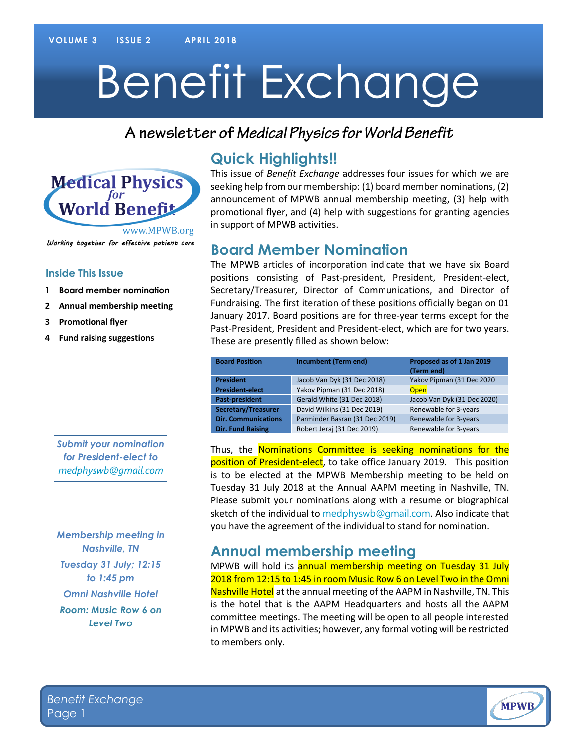# Benefit Exchange

#### A newsletter of Medical Physics for World Benefit



**Inside This Issue**

**3 Promotional flyer**

**4 Fund raising suggestions**

**1 Board member nomination 2 Annual membership meeting**

## **Quick Highlights!!**

This issue of *Benefit Exchange* addresses four issues for which we are seeking help from our membership: (1) board member nominations, (2) announcement of MPWB annual membership meeting, (3) help with promotional flyer, and (4) help with suggestions for granting agencies in support of MPWB activities.

#### **Board Member Nomination**

The MPWB articles of incorporation indicate that we have six Board positions consisting of Past-president, President, President-elect, Secretary/Treasurer, Director of Communications, and Director of Fundraising. The first iteration of these positions officially began on 01 January 2017. Board positions are for three-year terms except for the Past-President, President and President-elect, which are for two years. These are presently filled as shown below:

| <b>Board Position</b>      | Incumbent (Term end)           | Proposed as of 1 Jan 2019<br>(Term end) |
|----------------------------|--------------------------------|-----------------------------------------|
| <b>President</b>           | Jacob Van Dyk (31 Dec 2018)    | Yakov Pipman (31 Dec 2020               |
| <b>President-elect</b>     | Yakov Pipman (31 Dec 2018)     | <b>Open</b>                             |
| Past-president             | Gerald White (31 Dec 2018)     | Jacob Van Dyk (31 Dec 2020)             |
| Secretary/Treasurer        | David Wilkins (31 Dec 2019)    | Renewable for 3-years                   |
| <b>Dir. Communications</b> | Parminder Basran (31 Dec 2019) | Renewable for 3-years                   |
| <b>Dir. Fund Raising</b>   | Robert Jeraj (31 Dec 2019)     | Renewable for 3-years                   |

Thus, the Nominations Committee is seeking nominations for the position of President-elect, to take office January 2019. This position is to be elected at the MPWB Membership meeting to be held on Tuesday 31 July 2018 at the Annual AAPM meeting in Nashville, TN. Please submit your nominations along with a resume or biographical sketch of the individual to medphyswb@gmail.com. Also indicate that you have the agreement of the individual to stand for nomination.

### **Annual membership meeting**

MPWB will hold its annual membership meeting on Tuesday 31 July 2018 from 12:15 to 1:45 in room Music Row 6 on Level Two in the Omni Nashville Hotel at the annual meeting of the AAPM in Nashville, TN. This is the hotel that is the AAPM Headquarters and hosts all the AAPM committee meetings. The meeting will be open to all people interested in MPWB and its activities; however, any formal voting will be restricted to members only.

#### *Submit your nomination for President-elect to medphyswb@gmail.com*

*Membership meeting in Nashville, TN Tuesday 31 July; 12:15 to 1:45 pm Omni Nashville Hotel Room: Music Row 6 on Level Two*